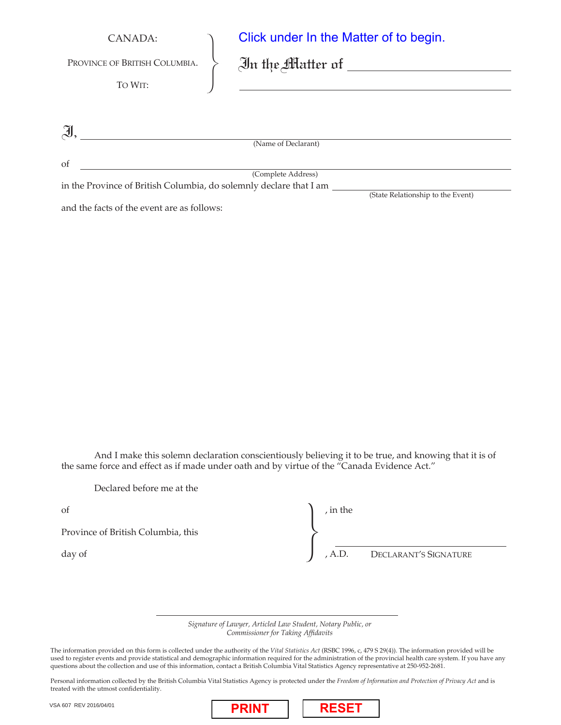| CANADA:                       | Click under In the Matter of to begin.             |
|-------------------------------|----------------------------------------------------|
| PROVINCE OF BRITISH COLUMBIA. | $\mathfrak{In}$ the Matter of $\rule{1em}{0.15mm}$ |
| TO WIT:                       |                                                    |
|                               |                                                    |
| $\widetilde{\mathcal{A}}$     |                                                    |
|                               | (Name of Declarant)                                |
| of                            | (Complete Address)                                 |
|                               |                                                    |

in the Province of British Columbia, do solemnly declare that I am

and the facts of the event are as follows:

And I make this solemn declaration conscientiously believing it to be true, and knowing that it is of the same force and effect as if made under oath and by virtue of the "Canada Evidence Act."

Declared before me at the

| of                                 | , in the |                              |
|------------------------------------|----------|------------------------------|
| Province of British Columbia, this |          |                              |
| day of                             |          | , A.D. DECLARANT'S SIGNATURE |

(State Relationship to the Event)

*Signature of Lawyer, Articled Law Student, Notary Public, or Commissioner for Taking Affidavits*

The information provided on this form is collected under the authority of the *Vital Statistics Act* (RSBC 1996, c, 479 S 29(4)). The information provided will be used to register events and provide statistical and demographic information required for the administration of the provincial health care system. If you have any questions about the collection and use of this information, contact a British Columbia Vital Statistics Agency representative at 250-952-2681.

Personal information collected by the British Columbia Vital Statistics Agency is protected under the *Freedom of Information and Protection of Privacy Act* and is treated with the utmost confidentiality.